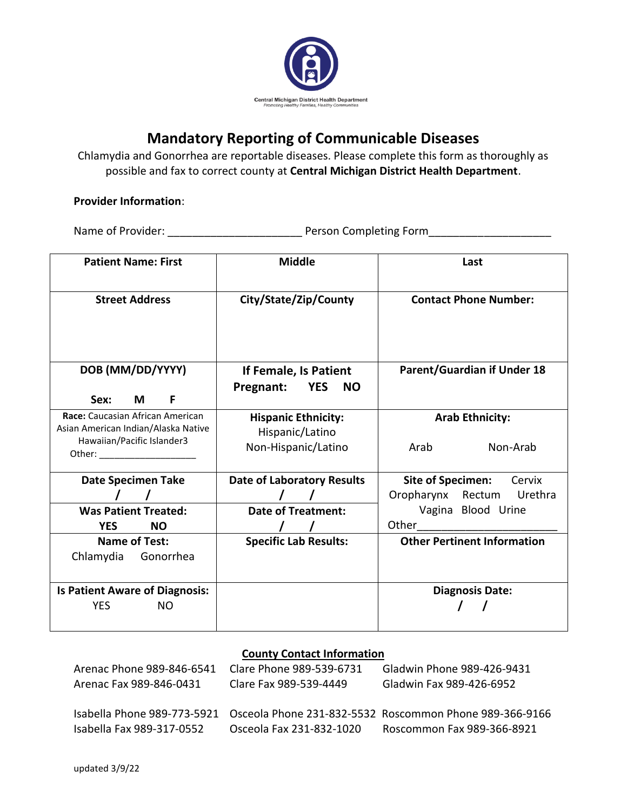

## **Mandatory Reporting of Communicable Diseases**

Chlamydia and Gonorrhea are reportable diseases. Please complete this form as thoroughly as possible and fax to correct county at **Central Michigan District Health Department**.

#### **Provider Information**:

Name of Provider: \_\_\_\_\_\_\_\_\_\_\_\_\_\_\_\_\_\_\_\_\_\_ Person Completing Form\_\_\_\_\_\_\_\_\_\_\_\_\_\_\_\_\_\_\_\_

| <b>Patient Name: First</b>                                                                            | <b>Middle</b>                                                        | Last                                                                                                                                                                                                                                                                                                                          |  |  |  |
|-------------------------------------------------------------------------------------------------------|----------------------------------------------------------------------|-------------------------------------------------------------------------------------------------------------------------------------------------------------------------------------------------------------------------------------------------------------------------------------------------------------------------------|--|--|--|
| <b>Street Address</b>                                                                                 | City/State/Zip/County                                                | <b>Contact Phone Number:</b><br><b>Parent/Guardian if Under 18</b><br><b>Arab Ethnicity:</b><br>Non-Arab<br>Arab                                                                                                                                                                                                              |  |  |  |
| DOB (MM/DD/YYYY)<br>Sex:<br>М<br>F                                                                    | If Female, Is Patient<br><b>YES</b><br>Pregnant:<br>NO.              |                                                                                                                                                                                                                                                                                                                               |  |  |  |
| Race: Caucasian African American<br>Asian American Indian/Alaska Native<br>Hawaiian/Pacific Islander3 | <b>Hispanic Ethnicity:</b><br>Hispanic/Latino<br>Non-Hispanic/Latino |                                                                                                                                                                                                                                                                                                                               |  |  |  |
| <b>Date Specimen Take</b><br><b>Was Patient Treated:</b><br><b>YES</b><br><b>NO</b>                   | <b>Date of Laboratory Results</b><br><b>Date of Treatment:</b>       | <b>Site of Specimen:</b><br>Cervix<br>Rectum<br>Urethra<br>Oropharynx<br>Vagina Blood Urine<br>Other the contract of the contract of the contract of the contract of the contract of the contract of the contract of the contract of the contract of the contract of the contract of the contract of the contract of the cont |  |  |  |
| <b>Name of Test:</b><br>Chlamydia<br>Gonorrhea                                                        | <b>Specific Lab Results:</b>                                         | <b>Other Pertinent Information</b>                                                                                                                                                                                                                                                                                            |  |  |  |
| <b>Is Patient Aware of Diagnosis:</b><br><b>YES</b><br>NO                                             |                                                                      | <b>Diagnosis Date:</b>                                                                                                                                                                                                                                                                                                        |  |  |  |

#### **County Contact Information**

| Arenac Phone 989-846-6541 | Clare Phone 989-539-6731 | Gladwin Phone 989-426-9431                                                          |
|---------------------------|--------------------------|-------------------------------------------------------------------------------------|
| Arenac Fax 989-846-0431   | Clare Fax 989-539-4449   | Gladwin Fax 989-426-6952                                                            |
|                           |                          |                                                                                     |
|                           |                          | Isabella Phone 989-773-5921 Osceola Phone 231-832-5532 Roscommon Phone 989-366-9166 |
| Isabella Fax 989-317-0552 | Osceola Fax 231-832-1020 | Roscommon Fax 989-366-8921                                                          |